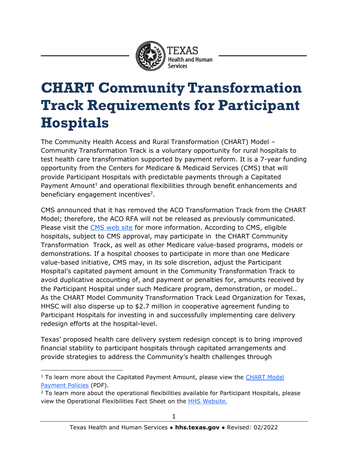

# **CHART Community Transformation Track Requirements for Participant Hospitals**

The Community Health Access and Rural Transformation (CHART) Model – Community Transformation Track is a voluntary opportunity for rural hospitals to test health care transformation supported by payment reform. It is a 7-year funding opportunity from the Centers for Medicare & Medicaid Services (CMS) that will provide Participant Hospitals with predictable payments through a Capitated Payment Amount<sup>1</sup> and operational flexibilities through benefit enhancements and beneficiary engagement incentives<sup>2</sup>.

CMS announced that it has removed the ACO Transformation Track from the CHART Model; therefore, the ACO RFA will not be released as previously communicated. Please visit the [CMS web site](https://innovation.cms.gov/innovation-models/chart-model) for more information. According to CMS, eligible hospitals, subject to CMS approval, may participate in the CHART Community Transformation Track, as well as other Medicare value-based programs, models or demonstrations. If a hospital chooses to participate in more than one Medicare value-based initiative, CMS may, in its sole discretion, adjust the Participant Hospital's capitated payment amount in the Community Transformation Track to avoid duplicative accounting of, and payment or penalties for, amounts received by the Participant Hospital under such Medicare program, demonstration, or model.. As the CHART Model Community Transformation Track Lead Organization for Texas, HHSC will also disperse up to \$2.7 million in cooperative agreement funding to Participant Hospitals for investing in and successfully implementing care delivery redesign efforts at the hospital-level.

Texas' proposed health care delivery system redesign concept is to bring improved financial stability to participant hospitals through capitated arrangements and provide strategies to address the Community's health challenges through

j  $1$  To learn more about the Capitated Payment Amount, please view the CHART Model [Payment Policies](https://www.hhs.texas.gov/sites/default/files/documents/doing-business-with-hhs/provider-portal/medicaid-supp-pay/rural-hosp-grant/chart-model-payment-policies-texas.pdf) (PDF).

 $2$  To learn more about the operational flexibilities available for Participant Hospitals, please view the Operational Flexibilities Fact Sheet on the [HHS Website.](https://www.hhs.texas.gov/providers/medicaid-supplemental-payment-directed-payment-programs/rural-hospital-grant-facilitation)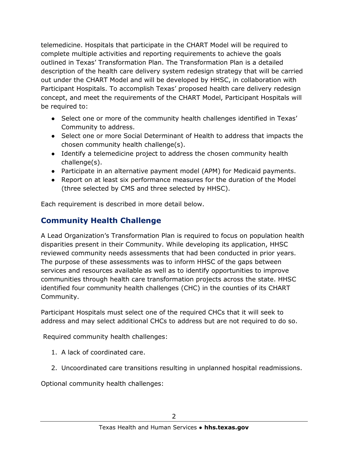telemedicine. Hospitals that participate in the CHART Model will be required to complete multiple activities and reporting requirements to achieve the goals outlined in Texas' Transformation Plan. The Transformation Plan is a detailed description of the health care delivery system redesign strategy that will be carried out under the CHART Model and will be developed by HHSC, in collaboration with Participant Hospitals. To accomplish Texas' proposed health care delivery redesign concept, and meet the requirements of the CHART Model, Participant Hospitals will be required to:

- Select one or more of the community health challenges identified in Texas' Community to address.
- Select one or more Social Determinant of Health to address that impacts the chosen community health challenge(s).
- Identify a telemedicine project to address the chosen community health challenge(s).
- Participate in an alternative payment model (APM) for Medicaid payments.
- Report on at least six performance measures for the duration of the Model (three selected by CMS and three selected by HHSC).

Each requirement is described in more detail below.

# **Community Health Challenge**

A Lead Organization's Transformation Plan is required to focus on population health disparities present in their Community. While developing its application, HHSC reviewed community needs assessments that had been conducted in prior years. The purpose of these assessments was to inform HHSC of the gaps between services and resources available as well as to identify opportunities to improve communities through health care transformation projects across the state. HHSC identified four community health challenges (CHC) in the counties of its CHART Community.

Participant Hospitals must select one of the required CHCs that it will seek to address and may select additional CHCs to address but are not required to do so.

Required community health challenges:

- 1. A lack of coordinated care.
- 2. Uncoordinated care transitions resulting in unplanned hospital readmissions.

Optional community health challenges: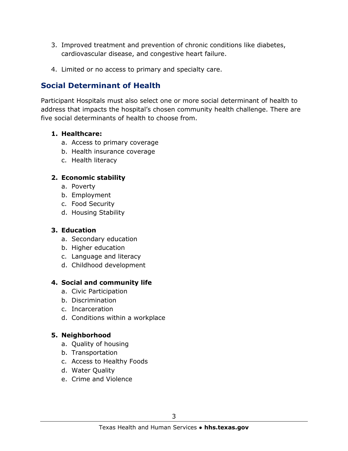- 3. Improved treatment and prevention of chronic conditions like diabetes, cardiovascular disease, and congestive heart failure.
- 4. Limited or no access to primary and specialty care.

## **Social Determinant of Health**

Participant Hospitals must also select one or more social determinant of health to address that impacts the hospital's chosen community health challenge. There are five social determinants of health to choose from.

#### **1. Healthcare:**

- a. Access to primary coverage
- b. Health insurance coverage
- c. Health literacy

#### **2. Economic stability**

- a. Poverty
- b. Employment
- c. Food Security
- d. Housing Stability

#### **3. Education**

- a. Secondary education
- b. Higher education
- c. Language and literacy
- d. Childhood development

#### **4. Social and community life**

- a. Civic Participation
- b. Discrimination
- c. Incarceration
- d. Conditions within a workplace

#### **5. Neighborhood**

- a. Quality of housing
- b. Transportation
- c. Access to Healthy Foods
- d. Water Quality
- e. Crime and Violence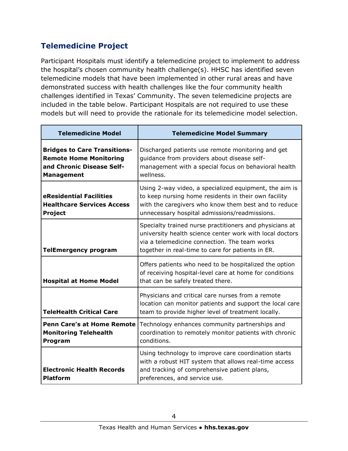# **Telemedicine Project**

Participant Hospitals must identify a telemedicine project to implement to address the hospital's chosen community health challenge(s). HHSC has identified seven telemedicine models that have been implemented in other rural areas and have demonstrated success with health challenges like the four community health challenges identified in Texas' Community. The seven telemedicine projects are included in the table below. Participant Hospitals are not required to use these models but will need to provide the rationale for its telemedicine model selection.

| <b>Telemedicine Model</b>                                                                                              | <b>Telemedicine Model Summary</b>                                                                                                                                                                                         |  |  |  |  |
|------------------------------------------------------------------------------------------------------------------------|---------------------------------------------------------------------------------------------------------------------------------------------------------------------------------------------------------------------------|--|--|--|--|
| <b>Bridges to Care Transitions-</b><br><b>Remote Home Monitoring</b><br>and Chronic Disease Self-<br><b>Management</b> | Discharged patients use remote monitoring and get<br>guidance from providers about disease self-<br>management with a special focus on behavioral health<br>wellness.                                                     |  |  |  |  |
| eResidential Facilities<br><b>Healthcare Services Access</b><br><b>Project</b>                                         | Using 2-way video, a specialized equipment, the aim is<br>to keep nursing home residents in their own facility<br>with the caregivers who know them best and to reduce<br>unnecessary hospital admissions/readmissions.   |  |  |  |  |
| <b>TelEmergency program</b>                                                                                            | Specialty trained nurse practitioners and physicians at<br>university health science center work with local doctors<br>via a telemedicine connection. The team works<br>together in real-time to care for patients in ER. |  |  |  |  |
| <b>Hospital at Home Model</b>                                                                                          | Offers patients who need to be hospitalized the option<br>of receiving hospital-level care at home for conditions<br>that can be safely treated there.                                                                    |  |  |  |  |
| <b>TeleHealth Critical Care</b>                                                                                        | Physicians and critical care nurses from a remote<br>location can monitor patients and support the local care<br>team to provide higher level of treatment locally.                                                       |  |  |  |  |
| <b>Penn Care's at Home Remote</b><br><b>Monitoring Telehealth</b><br>Program                                           | Technology enhances community partnerships and<br>coordination to remotely monitor patients with chronic<br>conditions.                                                                                                   |  |  |  |  |
| <b>Electronic Health Records</b><br><b>Platform</b>                                                                    | Using technology to improve care coordination starts<br>with a robust HIT system that allows real-time access<br>and tracking of comprehensive patient plans,<br>preferences, and service use.                            |  |  |  |  |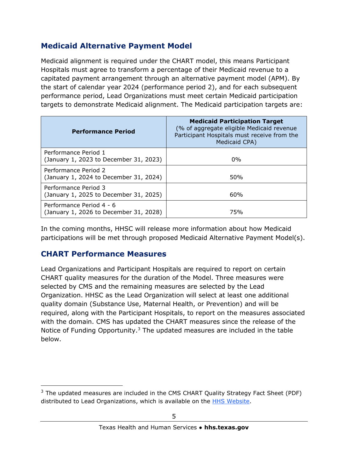## **Medicaid Alternative Payment Model**

Medicaid alignment is required under the CHART model, this means Participant Hospitals must agree to transform a percentage of their Medicaid revenue to a capitated payment arrangement through an alternative payment model (APM). By the start of calendar year 2024 (performance period 2), and for each subsequent performance period, Lead Organizations must meet certain Medicaid participation targets to demonstrate Medicaid alignment. The Medicaid participation targets are:

| <b>Performance Period</b>                                          | <b>Medicaid Participation Target</b><br>(% of aggregate eligible Medicaid revenue<br>Participant Hospitals must receive from the<br>Medicaid CPA) |  |  |  |  |
|--------------------------------------------------------------------|---------------------------------------------------------------------------------------------------------------------------------------------------|--|--|--|--|
| Performance Period 1<br>(January 1, 2023 to December 31, 2023)     | $0\%$                                                                                                                                             |  |  |  |  |
| Performance Period 2<br>(January 1, 2024 to December 31, 2024)     | 50%                                                                                                                                               |  |  |  |  |
| Performance Period 3<br>(January 1, 2025 to December 31, 2025)     | 60%                                                                                                                                               |  |  |  |  |
| Performance Period 4 - 6<br>(January 1, 2026 to December 31, 2028) | 75%                                                                                                                                               |  |  |  |  |

In the coming months, HHSC will release more information about how Medicaid participations will be met through proposed Medicaid Alternative Payment Model(s).

### **CHART Performance Measures**

 $\overline{a}$ 

Lead Organizations and Participant Hospitals are required to report on certain CHART quality measures for the duration of the Model. Three measures were selected by CMS and the remaining measures are selected by the Lead Organization. HHSC as the Lead Organization will select at least one additional quality domain (Substance Use, Maternal Health, or Prevention) and will be required, along with the Participant Hospitals, to report on the measures associated with the domain. CMS has updated the CHART measures since the release of the Notice of Funding Opportunity.<sup>3</sup> The updated measures are included in the table below.

 $3$  The updated measures are included in the CMS CHART Quality Strategy Fact Sheet (PDF) distributed to Lead Organizations, which is available on the **HHS Website**.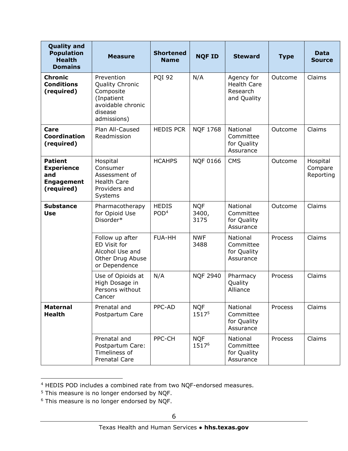| <b>Quality and</b><br><b>Population</b><br><b>Health</b><br><b>Domains</b>    | <b>Measure</b>                                                                                          | <b>Shortened</b><br><b>Name</b>  | <b>NQF ID</b>               | <b>Steward</b>                                              | <b>Type</b> | <b>Data</b><br><b>Source</b>     |
|-------------------------------------------------------------------------------|---------------------------------------------------------------------------------------------------------|----------------------------------|-----------------------------|-------------------------------------------------------------|-------------|----------------------------------|
| <b>Chronic</b><br><b>Conditions</b><br>(required)                             | Prevention<br>Quality Chronic<br>Composite<br>(Inpatient<br>avoidable chronic<br>disease<br>admissions) | <b>PQI 92</b>                    | N/A                         | Agency for<br><b>Health Care</b><br>Research<br>and Quality | Outcome     | Claims                           |
| Care<br>Coordination<br>(required)                                            | Plan All-Caused<br>Readmission                                                                          | <b>HEDIS PCR</b>                 | <b>NQF 1768</b>             | National<br>Committee<br>for Quality<br>Assurance           | Outcome     | Claims                           |
| <b>Patient</b><br><b>Experience</b><br>and<br><b>Engagement</b><br>(required) | Hospital<br>Consumer<br>Assessment of<br><b>Health Care</b><br>Providers and<br>Systems                 | <b>HCAHPS</b>                    | <b>NQF 0166</b>             | <b>CMS</b>                                                  | Outcome     | Hospital<br>Compare<br>Reporting |
| <b>Substance</b><br><b>Use</b>                                                | Pharmacotherapy<br>for Opioid Use<br>Disorder*                                                          | <b>HEDIS</b><br>POD <sup>4</sup> | <b>NQF</b><br>3400,<br>3175 | <b>National</b><br>Committee<br>for Quality<br>Assurance    | Outcome     | Claims                           |
|                                                                               | Follow up after<br>ED Visit for<br>Alcohol Use and<br>Other Drug Abuse<br>or Dependence                 | <b>FUA-HH</b>                    | <b>NWF</b><br>3488          | National<br>Committee<br>for Quality<br>Assurance           | Process     | Claims                           |
|                                                                               | Use of Opioids at<br>High Dosage in<br>Persons without<br>Cancer                                        | N/A                              | <b>NQF 2940</b>             | Pharmacy<br>Quality<br>Alliance                             | Process     | Claims                           |
| <b>Maternal</b><br><b>Health</b>                                              | Prenatal and<br>Postpartum Care                                                                         | PPC-AD                           | <b>NQF</b><br>15175         | National<br>Committee<br>for Quality<br>Assurance           | Process     | Claims                           |
|                                                                               | Prenatal and<br>Postpartum Care:<br>Timeliness of<br><b>Prenatal Care</b>                               | PPC-CH                           | <b>NQF</b><br>15176         | National<br>Committee<br>for Quality<br>Assurance           | Process     | Claims                           |

<sup>&</sup>lt;sup>4</sup> HEDIS POD includes a combined rate from two NQF-endorsed measures.

j

 $5$  This measure is no longer endorsed by NQF.

 $6$  This measure is no longer endorsed by NQF.